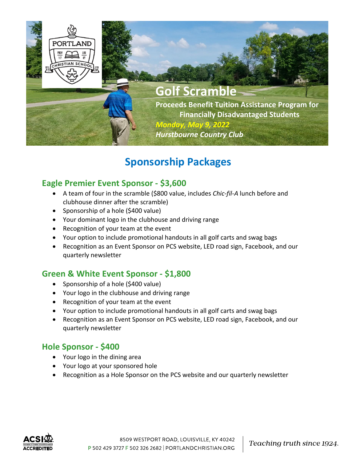

## **Sponsorship Packages**

#### **Eagle Premier Event Sponsor - \$3,600**

- A team of four in the scramble (\$800 value, includes *Chic-fil-A* lunch before and clubhouse dinner after the scramble)
- Sponsorship of a hole  $(5400 \text{ value})$
- Your dominant logo in the clubhouse and driving range
- Recognition of your team at the event
- Your option to include promotional handouts in all golf carts and swag bags
- Recognition as an Event Sponsor on PCS website, LED road sign, Facebook, and our quarterly newsletter

### **Green & White Event Sponsor - \$1,800**

- Sponsorship of a hole (\$400 value)
- Your logo in the clubhouse and driving range
- Recognition of your team at the event
- Your option to include promotional handouts in all golf carts and swag bags
- Recognition as an Event Sponsor on PCS website, LED road sign, Facebook, and our quarterly newsletter

#### **Hole Sponsor - \$400**

- Your logo in the dining area
- Your logo at your sponsored hole
- Recognition as a Hole Sponsor on the PCS website and our quarterly newsletter